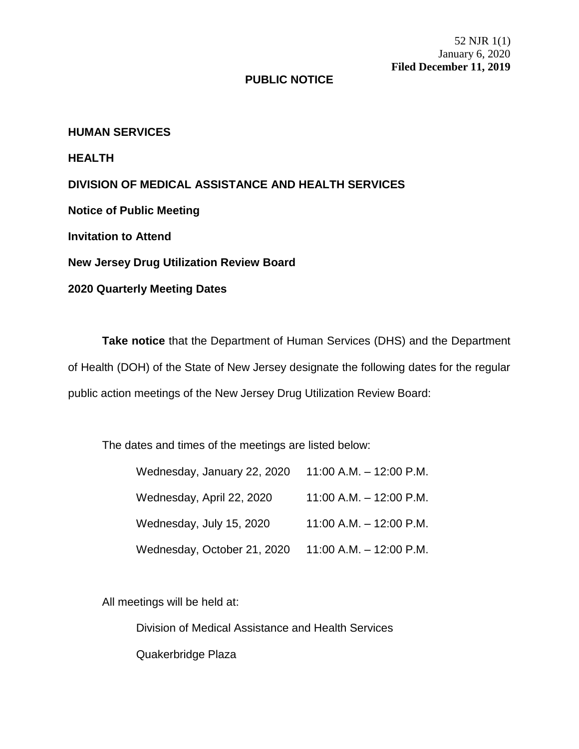52 NJR 1(1) January 6, 2020 **Filed December 11, 2019**

## **PUBLIC NOTICE**

**HUMAN SERVICES**

**HEALTH**

**DIVISION OF MEDICAL ASSISTANCE AND HEALTH SERVICES**

**Notice of Public Meeting**

**Invitation to Attend**

**New Jersey Drug Utilization Review Board**

**2020 Quarterly Meeting Dates**

**Take notice** that the Department of Human Services (DHS) and the Department of Health (DOH) of the State of New Jersey designate the following dates for the regular public action meetings of the New Jersey Drug Utilization Review Board:

The dates and times of the meetings are listed below:

| Wednesday, January 22, 2020 | 11:00 A.M. $-$ 12:00 P.M.   |
|-----------------------------|-----------------------------|
| Wednesday, April 22, 2020   | 11:00 A.M. $-$ 12:00 P.M.   |
| Wednesday, July 15, 2020    | $11:00$ A.M. $-12:00$ P.M.  |
| Wednesday, October 21, 2020 | $11:00$ A.M. $- 12:00$ P.M. |

All meetings will be held at:

Division of Medical Assistance and Health Services

Quakerbridge Plaza